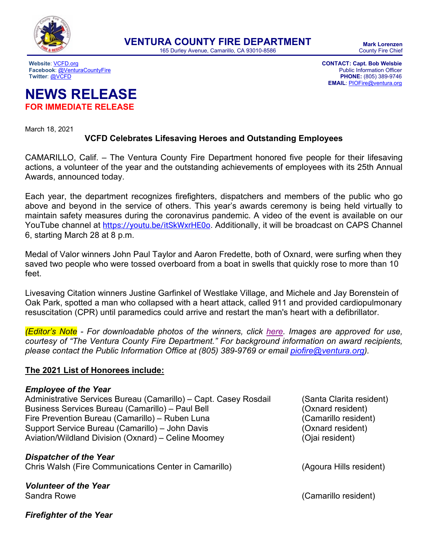

165 Durley Avenue, Camarillo, CA 93010-8586

**Facebook**[: @VenturaCountyFire](https://www.facebook.com/venturacountyfire) Public Information Officer<br> **Facebook**: @VCFD PHONE: (805) 389-9746

**Website**[: VCFD.org](http://vcfd.org/) **CONTACT: Capt. Bob Welsbie PHONE:** (805) 389-9746 **EMAIL**: [PIOFire@ventura.org](mailto:PIOFire@ventura.org)

# **NEWS RELEASE FOR IMMEDIATE RELEASE**

March 18, 2021

### **VCFD Celebrates Lifesaving Heroes and Outstanding Employees**

CAMARILLO, Calif. – The Ventura County Fire Department honored five people for their lifesaving actions, a volunteer of the year and the outstanding achievements of employees with its 25th Annual Awards, announced today.

Each year, the department recognizes firefighters, dispatchers and members of the public who go above and beyond in the service of others. This year's awards ceremony is being held virtually to maintain safety measures during the coronavirus pandemic. A video of the event is available on our YouTube channel at <https://youtu.be/itSkWxrHE0o>. Additionally, it will be broadcast on CAPS Channel 6, starting March 28 at 8 p.m.

Medal of Valor winners John Paul Taylor and Aaron Fredette, both of Oxnard, were surfing when they saved two people who were tossed overboard from a boat in swells that quickly rose to more than 10 feet.

Livesaving Citation winners Justine Garfinkel of Westlake Village, and Michele and Jay Borenstein of Oak Park, spotted a man who collapsed with a heart attack, called 911 and provided cardiopulmonary resuscitation (CPR) until paramedics could arrive and restart the man's heart with a defibrillator.

*(Editor's Note - For downloadable photos of the winners, click [here.](https://www.dropbox.com/sh/rtuodkzfwzqbvoa/AAC3KhNfj7GKNR2oNcmmKOWKa?dl=0) Images are approved for use, courtesy of "The Ventura County Fire Department." For background information on award recipients, please contact the Public Information Office at (805) 389-9769 or email [piofire@ventura.org\)](mailto:piofire@ventura.org).*

#### **The 2021 List of Honorees include:**

#### *Employee of the Year*

Administrative Services Bureau (Camarillo) – Capt. Casey Rosdail (Santa Clarita resident) Business Services Bureau (Camarillo) – Paul Bell (Oxnard resident) Fire Prevention Bureau (Camarillo) – Ruben Luna (Camarillo resident) Support Service Bureau (Camarillo) – John Davis (Oxnard resident) Aviation/Wildland Division (Oxnard) – Celine Moomey (Ojai resident)

*Dispatcher of the Year* Chris Walsh (Fire Communications Center in Camarillo) (Agoura Hills resident)

*Volunteer of the Year* Sandra Rowe (Camarillo resident)

*Firefighter of the Year*